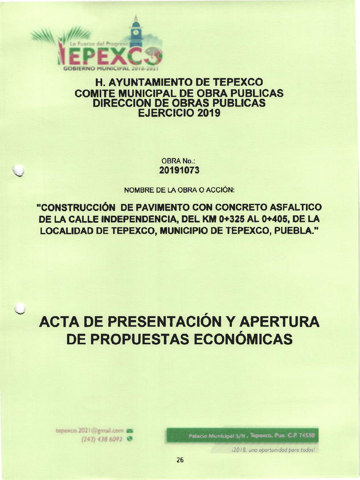

# **H. AYUNTAMIENTO DE TEPEXCO COMITE MUNICIPAL DE OBRA PUBLICAS DIRECCION DE OBRAS PUBLICAS EJERCICIO 2019**

**OBRA No.:** 20191073

NOMBRE DE LA OBRA O ACCIÓN:

"CONSTRUCCIÓN DE PAVIMENTO CON CONCRETO ASFALTICO DE LA CALLE INDEPENDENCIA, DEL KM 0+325 AL 0+405, DE LA LOCALIDAD DE TEPEXCO, MUNICIPIO DE TEPEXCO, PUEBLA."

# **ACTA DE PRESENTACIÓN Y APERTURA** DE PROPUESTAS ECONÓMICAS

Palacio Municipal S/N., Tepexco, Pue. C.P. 74550

12018, una oportunidad para todos!

tepexco.2021@gmail.com  $(243)$  438 6092  $%$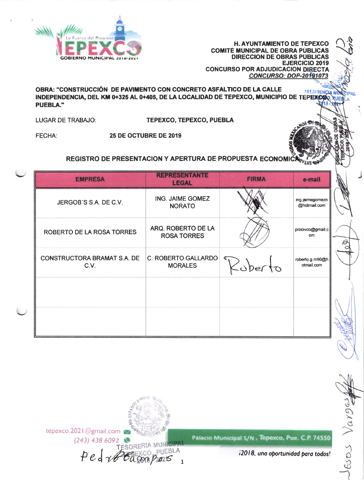

H. AYUNTAMIENTO DE TEPEXCO **COMITÉ MUNICIPAL DE OBRA PÚBLICAS DIRECCION DE OBRAS PÚBLICAS EJERCICIO 2019 CONCURSO POR ADJUDICACION DIRECTA CONCURSO: DOP-20191073** 

OBRA: "CONSTRUCCIÓN DE PAVIMENTO CON CONCRETO ASFALTICO DE LA CALLE PRESIDENCE INDEPENDENCIA, DEL KM 0+325 AL 0+405, DE LA LOCALIDAD DE TEPEXCO, MUNICIPIO DE TEPEXCO. **PUEBLA."** 

**LUGAR DE TRABAJO:** TEPEXCO, TEPEXCO, PUEBLA

**FECHA:** 25 DE OCTUBRE DE 2019

# REGISTRO DE PRESENTACION Y APERTURA DE PROPUESTA ECONOM

| <b>EMPRESA</b>                             | <b>REPRESENTANTE</b><br><b>LEGAL</b>     | <b>FIRMA</b> | e-mail                          |
|--------------------------------------------|------------------------------------------|--------------|---------------------------------|
| JERGOB'S S.A. DE C.V.                      | ING. JAIME GOMEZ<br><b>NORATO</b>        |              | ing.jaimegomezn<br>@hotmail.com |
| ROBERTO DE LA ROSA TORRES                  | ARQ. ROBERTO DE LA<br><b>ROSA TORRES</b> |              | procivco@gmail.c<br>om.         |
| <b>CONSTRUCTORA BRAMAT S.A. DE</b><br>C.V. | C. ROBERTO GALLARDO<br><b>MORALES</b>    | $\sim$ berto | roberto.g.m90@h<br>otmail.com   |
|                                            |                                          |              |                                 |
|                                            |                                          |              |                                 |

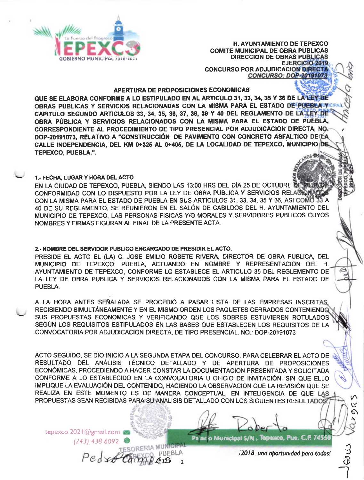

**H. AYUNTAMIENTO DE TEPEXCO COMITÉ MUNICIPAL DE OBRA PÚBLICAS DIRECCION DE OBRAS PÚBLICAS** EJERCICIO 2019 **CONCURSO POR ADJUDICACION DIRECTA CONCURSO: DOP-20191073** 

# **APERTURA DE PROPOSICIONES ECONOMICAS**

QUE SE ELABORA CONFORME A LO ESTIPULADO EN AL ARTICULO 31, 33, 34, 35 Y 36 DE LA LEX DE OBRAS PUBLICAS Y SERVICIOS RELACIONADAS CON LA MISMA PARA EL ESTADO DE PUEBLA VICIPAD CAPITULO SEGUNDO ARTICULOS 33, 34, 35, 36, 37, 38, 39 Y 40 DEL REGLAMENTO DE LA LEY DE OBRA PÚBLICA Y SERVICIOS RELACIONADOS CON LA MISMA PARA EL ESTADO DE PUEBLA. CORRESPONDIENTE AL PROCEDIMIENTO DE TIPO PRESENCIAL POR ADJUDICACION DIRECTA, NO DOP-20191073, RELATIVO A "CONSTRUCCIÓN DE PAVIMENTO CON CONCRETO ASFALTICO DE CÁ CALLE INDEPENDENCIA, DEL KM 0+325 AL 0+405, DE LA LOCALIDAD DE TEPEXCO, MUNICIPIO DE **TEPEXCO, PUEBLA.".** 

# 1.- FECHA. LUGAR Y HORA DEL ACTO

EN LA CIUDAD DE TEPEXCO, PUEBLA, SIENDO LAS 13:00 HRS DEL DÍA 25 DE OCTUBRE DE ASIBIDI CONFORMIDAD CON LO DISPUESTO POR LA LEY DE OBRA PUBLICA Y SERVICIOS RELACTORIADO CON LA MISMA PARA EL ESTADO DE PUEBLA EN SUS ARTICULOS 31, 33, 34, 35 Y 36, ASI COMO 33 A 40 DE SU REGLAMENTO. SE REUNIERON EN EL SALÓN DE CABILDOS DEL H. AYUNTAMIENTO DEL MUNICIPIO DE TEPEXCO, LAS PERSONAS FISICAS Y/O MORALES Y SERVIDORES PUBLICOS CUYOS NOMBRES Y FIRMAS FIGURAN AL FINAL DE LA PRESENTE ACTA.

# 2.- NOMBRE DEL SERVIDOR PUBLICO ENCARGADO DE PRESIDIR EL ACTO.

PRESIDE EL ACTO EL (LA) C. JOSE EMILIO ROSETE RIVERA, DIRECTOR DE OBRA PUBLICA, DEL MUNICIPIO DE TEPEXCO, PUEBLA, ACTUANDO EN NOMBRE Y REPRESENTACION DEL H. AYUNTAMIENTO DE TEPEXCO, CONFORME LO ESTABLECE EL ARTICULO 35 DEL REGLEMENTO DE LA LEY DE OBRA PUBLICA Y SERVICIOS RELACIONADOS CON LA MISMA PARA EL ESTADO DE **PUEBLA.** 

A LA HORA ANTES SEÑALADA SE PROCEDIÓ A PASAR LISTA DE LAS EMPRESAS INSCRITAS RECIBIENDO SIMULTÁNEAMENTE Y EN EL MISMO ORDEN LOS PAQUETES CERRADOS CONTENIENDO SUS PROPUESTAS ECONOMICAS Y VERIFICANDO QUE LOS SOBRES ESTUVIEREN ROTULADOS SEGÚN LOS REQUISITOS ESTIPULADOS EN LAS BASES QUE ESTABLECEN LOS REQUISITOS DE LA CONVOCATORIA POR ADJUDICACION DIRECTA. DE TIPO PRESENCIAL. NO.: DOP-20191073

ACTO SEGUIDO, SE DIO INICIO A LA SEGUNDA ETAPA DEL CONCURSO, PARA CELEBRAR EL ACTO DE RESULTADO DEL ANÁLISIS TÉCNICO DETALLADO Y DE APERTURA DE PROPOSICIONES ECONÓMICAS, PROCEDIENDO A HACER CONSTAR LA DOCUMENTACION PRESENTADA Y SOLICITADA CONFORME A LO ESTABLECIDO EN LA CONVOCATORIA U OFICIO DE INVITACIÓN. SIN QUE ELLO IMPLIQUE LA EVALUACIÓN DEL CONTENIDO, HACIENDO LA OBSERVACION QUE LA REVISIÓN QUE SE REALIZA EN ESTE MOMENTO ES DE MANERA CONCEPTUAL, EN INTELIGENCIA DE QUE LAS PROPUESTAS SEAN RECIBIDAS PARA SU ANALISIS DETALLADO CON LOS SIGUIENTES RESULTADOS

ESORERIA MUNICIPAL

**PUEBLA** 

 $\overline{2}$ 

tepexco.2021@gmail.com  $(243)$  438 6092

Pedro

Palacio Municipal S/N , Tepexco, Pue. C.P. 74550

i2018, una oportunidad para todos!

 $\circledcirc$ 

M

رہ Ø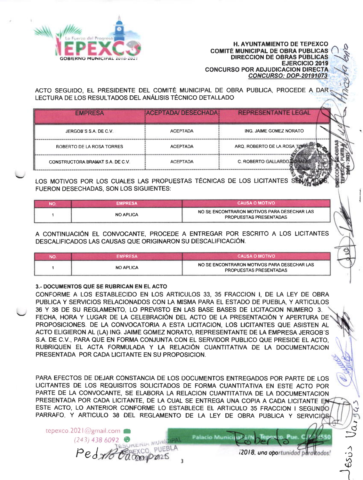

H. AYUNTAMIENTO DE TEPEXCO<br>
GOBIERNO MUNICIPAL 2019-2021<br>
GOBIERNO MUNICIPAL 2019-2021<br>
CONCLUBSO BOB AD UIDICACION DIBECTA H. AYUNTAMIENTO DE TEPEXCO DIRECCION DE OBRAS PÜBLICAS EJERC|CIO 2019 CONCURSO POR ADJUDICACION DIRECTA CONCURSO: DOP-20191073 COMITÉ MUNICIPAL DE OBRA PÚBLICAS

ACTO SEGUIDO, EL PRESIDENTE DEL COMITÉ MUNICIPAL DE OBRA PUBLICA, PROCEDE A DAR LECTURA DE LOS RESULTADOS DEL ANALISIS TECNICO DETALLADO

| <b>REPRESENTANTE LEGAL</b> | <b>ACEPTADA/ DESECHADA</b> | <b>EMPRESA</b>                   |
|----------------------------|----------------------------|----------------------------------|
| ING. JAIME GOMEZ NORATO    | <b>ACEPTADA</b>            | JERGOB'S S.A. DE C.V.            |
| ARQ, ROBERTO DE LA ROSA TO | <b>ACEPTADA</b>            | ROBERTO DE LA ROSA TORRES        |
| C. ROBERTO GALLARDO        | <b>ACEPTADA</b>            | CONSTRUCTORA BRAMAT S.A. DE C.V. |
|                            |                            |                                  |

LOS MOTIVOS POR LOS CUALES LAS PROPUESTAS TÉCNICAS DE LOS LICITANTES SENA FUERON DESECHADAS, SON LOS SIGUIENTES:

| <b>NO</b> | <b>EMPRESA</b>   | LCAUSA O MOTIVO '                                                            |
|-----------|------------------|------------------------------------------------------------------------------|
|           | <b>NO APLICA</b> | NO SE ENCONTRARON MOTIVOS PARA DESECHAR LAS<br><b>PROPUESTAS PRESENTADAS</b> |

A CONTINUACIÓN EL CONVOCANTE, PROCEDE A ENTREGAR POR ESCRITO A LOS LICITANTES DESCALIFICADOS LAS CAUSAS QUE ORIGINARON SU DESCALIFICACIÓN.

| NO | <b>EMPRESA</b>   | i CAUSA O MOTIVO I                                                           |
|----|------------------|------------------------------------------------------------------------------|
|    | <b>NO APLICA</b> | NO SE ENCONTRARON MOTIVOS PARA DESECHAR LAS<br><b>PROPUESTAS PRESENTADAS</b> |

#### 3.- DOCUMENTOS QUE SE RUSRICAN EN EL ACTO

CONFORME A LOS ESTABLECIDO EN LOS ARTICULOS 33, 35 FRACCION I, DE LA LEY DE OBRA PUBLICA Y SERVICIOS RELACIONADOS CON LA MISMA PARA EL ESTADO DE PUEBLA, Y ARTICULOS 36 Y 38 DE SU REGLAMENTO, LO PREVISTO EN LAS BASE BASES DE LICITACION NUMERO 3 FECHA, HORA Y LUGAR DE LA CELEBRACIÓN DEL ACTO DE LA PRESENTACIÓN Y APERTURA DE PROPOSICIONES. DE LA CONVOCATORIA A ESTA LICITAGION, LOS LICITANTES QUE ASISTEN AL ACTO ELIGIERON AL (LA) ING, JAIME GOMEZ NORATO, REPRESENTANTE DE LA EMPRESA JERGOB'S S.A. DE C.V., PARA QUE EN FORMA CONJUNTA CON EL SERVIDOR PUBLICO QUE PRESIDE EL ACTO, RUBRIQUEN EL ACTA FORMULADA Y LA RELACIÓN CUANTITATIVA DE LA DOCUMENTACION PRESENTADA POR CADA LICITANTE EN SU PROPOSICION.

PARA EFECTOS DE DEJAR CONSTANCIA DE LOS DOCUMENTOS ENTREGADOS POR PARTE DE LOS LICITANTES DE LOS REQUISITOS SOLICITADOS DE FORMA CUANTITATIVA EN ESTE ACTO POR PARTE DE LA CONVOCANTE, SE ELABORA LA RELACION CUANTITATIVA DE LA DOCUMENTACION PRESENTADA POR CADA LICITANTE, DE LA CUAL SE ENTREGA UNA COPIA A CADA LICITANTE ESTE ACTO, LO ANTERIOR CONFORME LO ESTABLECE EL ARTICULO 35 FRACCION I SEGUNDO PARRAFO, Y ARTICULO 38 DEL REGLAMENTO DE LA LEY DE OBRA PUBLICA Y SERVICIOS

tepexco.202 | @gmail.com

 $(243)$  438 6092

Ped x 18 Cam

i2018. una oportunidad paraktodos!

 $\mathcal{C}$ 

§

l

d

 $\frac{3}{2}$ 

 $5 \overline{9}$  $\bigcap$ 

PUEBLA

**Palacio Munici**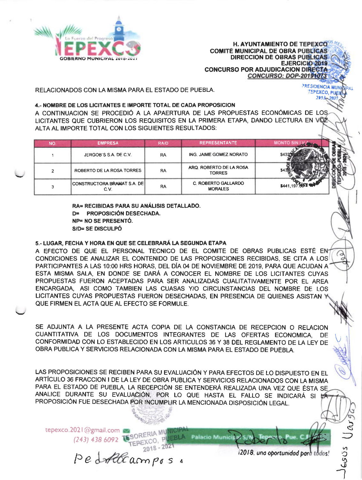

**H. AYUNTAMIENTO DE TEPEXCO COMITÉ MUNICIPAL DE OBRA PÚBLICAS DIRECCION DE OBRAS PÚBLICAS EJERCICIO 2019 CONCURSO POR ADJUDICACION DIRECTA CONCURSO: DOP-20191073** 

**PRESIDENCIA MIL** 

**TEPEXCO, PUEI**  $2013 -$ 

C)

ESUS

RELACIONADOS CON LA MISMA PARA EL ESTADO DE PUEBLA.

#### 4.- NOMBRE DE LOS LICITANTES E IMPORTE TOTAL DE CADA PROPOSICION

A CONTINUACION SE PROCEDIÓ A LA APAERTURA DE LAS PROPUESTAS ECONÓMICAS DE LOS LICITANTES QUE CUBRIERON LOS REQUISITOS EN LA PRIMERA ETAPA. DANDO LECTURA EN VOZ ALTA AL IMPORTE TOTAL CON LOS SIGUIENTES RESULTADOS:

| <b>NO</b> | <b>EMPRESA</b>              | RA/D      | <b>REPRESENTANTE</b>                         |                                           |
|-----------|-----------------------------|-----------|----------------------------------------------|-------------------------------------------|
|           | JERGOB'S S.A. DE C.V.       | RA        | ING. JAIME GOMEZ NORATO                      |                                           |
|           | ROBERTO DE LA ROSA TORRES   | <b>RA</b> | ARQ. ROBERTO DE LA ROSA<br><b>TORRES</b>     |                                           |
|           | CONSTRUCTORA BRAMAT S.A. DE | RA        | <b>C. ROBERTO GALLARDO</b><br><b>MORALES</b> | $\mathbf{r}$ and $\mathbf{r}$<br>\$441.19 |

RA= RECIBIDAS PARA SU ANÁLISIS DETALLADO. D= PROPOSICIÓN DESECHADA. **NP= NO SE PRESENTÓ.** S/D= SE DISCULPÓ

# 5.- LUGAR, FECHA Y HORA EN QUE SE CELEBRARÁ LA SEGUNDA ETAPA

A EFECTO DE QUE EL PERSONAL TECNICO DE EL COMITE DE OBRAS PUBLICAS ESTÉ EN-CONDICIONES DE ANALIZAR EL CONTENIDO DE LAS PROPOSICIONES RECIBIDAS, SE CITA A LOS PARTICIPANTES A LAS 10:00 HRS HORAS, DEL DÍA 04 DE NOVIEMBRE DE 2019, PARA QUE ACUDAN A ESTA MISMA SALA. EN DONDE SE DARÁ A CONOCER EL NOMBRE DE LOS LICITANTES CUYAS PROPUESTAS FUERON ACEPTADAS PARA SER ANALIZADAS CUALITATIVAMENTE POR EL AREA ENCARGADA, ASI COMO TAMBIEN LAS CUASAS Y/O CIRCUNSTANCIAS DEL NOMBRE DE LOS LICITANTES CUYAS PROPUESTAS FUERON DESECHADAS, EN PRESENCIA DE QUIENES ASISTAN QUE FIRMEN EL ACTA QUE AL EFECTO SE FORMULE.

SE ADJUNTA A LA PRESENTE ACTA COPIA DE LA CONSTANCIA DE RECEPCION O RELACION CUANTITATIVA DE LOS DOCUMENTOS INTEGRANTES DE LAS OFERTAS ECONOMICA, DE CONFORMIDAD CON LO ESTABLECIDO EN LOS ARTICULOS 36 Y 38 DEL REGLAMENTO DE LA LEY DE OBRA PUBLICA Y SERVICIOS RELACIONADA CON LA MISMA PARA EL ESTADO DE PUEBLA.

LAS PROPOSICIONES SE RECIBEN PARA SU EVALUACIÓN Y PARA EFECTOS DE LO DISPUESTO EN EL ARTÍCULO 36 FRACCION I DE LA LEY DE OBRA PUBLICA Y SERVICIOS RELACIONADOS CON LA MISMA PARA EL ESTADO DE PUEBLA, LA RECEPCIÓN SE ENTENDERÁ REALIZADA UNA VEZ QUE ÉSTA SE ANALICE DURANTE SU EVALUACIÓN, POR LO QUE HASTA EL FALLO SE INDICARÁ SI LA PROPOSICIÓN FUE DESECHADA POR INCUMPLIR LA MENCIONADA DISPOSICIÓN LEGAL.

Palacio Municipal S/I

tepexco.2021@gmail.com (243) 438 6092 TESORERIA MUNICIPAL

i2018, una oportunidad para todos!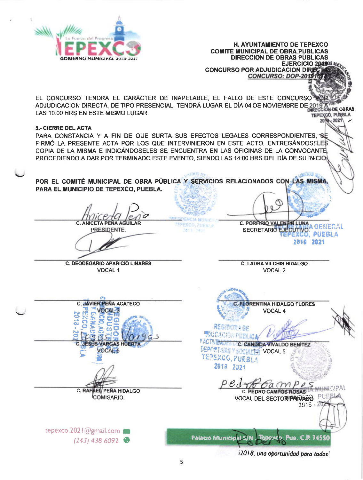

**H. AYUNTAMIENTO DE TEPEXCO COMITÉ MUNICIPAL DE OBRA PÚBLICAS DIRECCION DE OBRAS PUBLICAS** EJERCICIO 204908 **CONCURSO POR ADJUDICACION DIRE CONCURSO: DOP-20** EL CONCURSO TENDRA EL CARÁCTER DE INAPELABLE. EL FALLO DE ESTE CONCURSO ADJUDICACION DIRECTA, DE TIPO PRESENCIAL, TENDRÁ LUGAR EL DÍA 04 DE NOVIEMBRE DE 2019 À **IRE ORRAS** LAS 10:00 HRS EN ESTE MISMO LUGAR. TEPEXCO, PUEBLA  $-2021$ **5.- CIERRE DEL ACTA** PARA CONSTANCIA Y A FIN DE QUE SURTA SUS EFECTOS LEGALES CORRESPONDIENTES, SE FIRMÓ LA PRESENTE ACTA POR LOS QUE INTERVINIERON EN ESTE ACTO. ENTREGÁNDOSELES COPIA DE LA MISMA E INDICÁNDOSELES SE ENCUENTRA EN LAS OFICINAS DE LA CONVOCANTE PROCEDIENDO A DAR POR TERMINADO ESTE EVENTO. SIENDO LAS 14:00 HRS DEL DÍA DE SU INICIO SAIDOS AL POR EL COMITÉ MUNICIPAL DE OBRA PÚBLICA Y SERVICIOS RELACIONADOS CON LAS MISMA. PARA EL MUNICIPIO DE TEPEXCO, PUEBLA. C. PORFIRIO VALENTIN LUNA **C. ANICETA PENA AGUILAR** PEXCO, PUES LA a genfrai PRESIDENTE. **SECRETARIO EJECUTIVO** 2013 245 **PUEBLA** 2818 2021 **C. LAURA VILCHIS HIDALGO C. DEODEGARIO APARICIO LINARES** VOCAL<sub>1</sub> VOCAL<sub>2</sub> **C. JAVIER PEÑA ACATECO FLORENTINA HIDALGO FLORES VOCAL 4 REGITORAGE LOUCACHON PULLE** Y ACTIVITADES CICI CANDIDA VIVALDO BENITEZ **SUS VARGAS HUERT/ DEPORTIVAS Y SOCIALLE VOCAL 6** VOCAL 5 TEPEXCO, PUEBLA 2018 2021  $pe$ <sub>d</sub> **AEL PEÑA HIDALGO** C. RAF **C. PEDRO CAMPOS ROSAS** COMISARIO. RL PUE **VOCAL DEL SECTORE PRIVADO.**  $2918 - 20$ tepexco.2021@gmail.com Palacio Municipal S/N. Tepexco. Pue. C.R 74550  $(243)$  438 6092 12018, una oportunidad para todos!